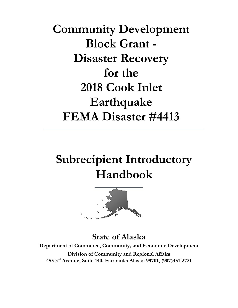**Community Development Block Grant -Disaster Recovery** for the 2018 Cook Inlet Earthquake **FEMA Disaster #4413** 

# **Subrecipient Introductory Handbook**



**State of Alaska Department of Commerce, Community, and Economic Development Division of Community and Regional Affairs 455 3rd Avenue, Suite 140, Fairbanks Alaska 99701, (907)451-2721**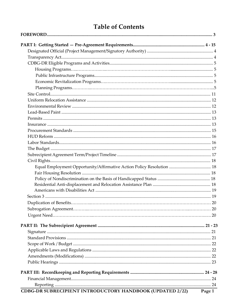# **Table of Contents**

| CDBG-DR SUBRECIPIENT INTRODUCTORY HANDBOOK (UPDATED 2/22) | Page 1 |
|-----------------------------------------------------------|--------|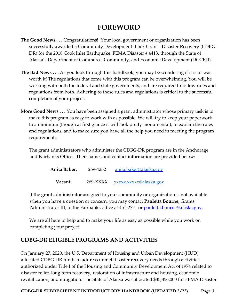# **FOREWORD**

- **The Good News . . .** Congratulations! Your local government or organization has been successfully awarded a Community Development Block Grant - Disaster Recovery (CDBG-DR) for the 2018 Cook Inlet Earthquake, FEMA Disaster # 4413, through the State of Alaska's Department of Commerce, Community, and Economic Development (DCCED).
- **The Bad News . . .** As you look through this handbook, you may be wondering if it is or was worth it! The regulations that come with this program can be overwhelming. You will be working with both the federal and state governments, and are required to follow rules and regulations from both. Adhering to these rules and regulations is critical to the successful completion of your project.
- **More Good News . . .** You have been assigned a grant administrator whose primary task is to make this program as easy to work with as possible. We will try to keep your paperwork to a minimum (though at first glance it will look pretty monumental), to explain the rules and regulations, and to make sure you have all the help you need in meeting the program requirements.

The grant administrators who administer the CDBG-DR program are in the Anchorage and Fairbanks Office. Their names and contact information are provided below:

| Anita Baker: | 269-4252     | anita.baker@alaska.gov |
|--------------|--------------|------------------------|
| Vacant:      | $269 - XXXX$ | xxxxx.xxxxx@alaska.gov |

If the grant administrator assigned to your community or organization is not available when you have a question or concern, you may contact **Pauletta Bourne,** Grants Administrator III, in the Fairbanks office at 451-2721 or pauletta.bourne@alaska.gov.

We are all here to help and to make your life as easy as possible while you work on completing your project.

#### **CDBG-DR ELIGIBLE PROGRAMS AND ACTIVITIES**

On January 27, 2020, the U.S. Department of Housing and Urban Development (HUD) allocated CDBG-DR funds to address unmet disaster recovery needs through activities authorized under Title I of the Housing and Community Development Act of 1974 related to disaster relief, long term recovery, restoration of infrastructure and housing, economic revitalization, and mitigation. The State of Alaska was allocated \$35,856,000 for FEMA Disaster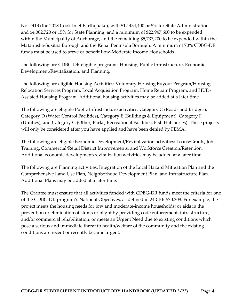No. 4413 (the 2018 Cook Inlet Earthquake), with \$1,1434,400 or 5% for State Administration and \$4,302,720 or 15% for State Planning, and a minimum of \$22,947,600 to be expended within the Municipality of Anchorage, and the remaining \$5,737,200 to be expended within the Matanuska-Susitna Borough and the Kenai Peninsula Borough. A minimum of 70% CDBG-DR funds must be used to serve or benefit Low-Moderate Income Households.

The following are CDBG-DR eligible programs: Housing, Public Infrastructure, Economic Development/Revitalization, and Planning.

The following are eligible Housing Activities: Voluntary Housing Buyout Program/Housing Relocation Services Program, Local Acquisition Program, Home Repair Program, and HUD-Assisted Housing Program. Additional housing activities may be added at a later time.

The following are eligible Public Infrastructure activities: Category C (Roads and Bridges), Category D (Water Control Facilities), Category E (Buildings & Equipment), Category F (Utilities), and Category G (Other, Parks, Recreational Facilities, Fish Hatcheries). These projects will only be considered after you have applied and have been denied by FEMA.

The following are eligible Economic Development/Revitalization activities: Loans/Grants, Job Training, Commercial/Retail District Improvements, and Workforce Creation/Retention. Additional economic development/revitalization activities may be added at a later time.

The following are Planning activities: Integration of the Local Hazard Mitigation Plan and the Comprehensive Land Use Plan, Neighborhood Development Plan, and Infrastructure Plan. Additional Plans may be added at a later time.

The Grantee must ensure that all activities funded with CDBG-DR funds meet the criteria for one of the CDBG-DR program's National Objectives, as defined in 24 CFR 570.208. For example, the project meets the housing needs for low and moderate-income households; or aids in the prevention or elimination of slums or blight by providing code enforcement, infrastructure, and/or commercial rehabilitation; or meets an Urgent Need due to existing conditions which pose a serious and immediate threat to health/welfare of the community and the existing conditions are recent or recently became urgent.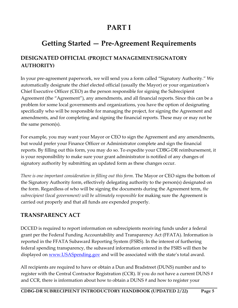# **PART I**

# **Getting Started — Pre-Agreement Requirements**

### **DESIGNATED OFFICIAL (PROJECT MANAGEMENT/SIGNATORY AUTHORITY)**

In your pre-agreement paperwork, we will send you a form called "Signatory Authority." We automatically designate the chief elected official (usually the Mayor) or your organization's Chief Executive Officer (CEO) as the person responsible for signing the Subrecipient Agreement (the "Agreement"), any amendments, and all financial reports. Since this can be a problem for some local governments and organizations, you have the option of designating specifically who will be responsible for managing the project, for signing the Agreement and amendments, and for completing and signing the financial reports. These may or may not be the same person(s).

For example, you may want your Mayor or CEO to sign the Agreement and any amendments, but would prefer your Finance Officer or Administrator complete and sign the financial reports. By filling out this form, you may do so. To expedite your CDBG-DR reimbursement, it is your responsibility to make sure your grant administrator is notified of any changes of signatory authority by submitting an updated form as these changes occur.

*There is one important consideration in filling out this form.* The Mayor or CEO signs the bottom of the Signatory Authority form, effectively delegating authority to the person(s) designated on the form. Regardless of who will be signing the documents during the Agreement term, *the subrecipient (local government) will be ultimately responsible* for making sure the Agreement is carried out properly and that all funds are expended properly.

#### **TRANSPARENCY ACT**

DCCED is required to report information on subrecipients receiving funds under a federal grant per the Federal Funding Accountability and Transparency Act (FFATA). Information is reported in the FFATA Subaward Reporting System (FSRS). In the interest of furthering federal spending transparency, the subaward information entered in the FSRS will then be displayed on <u>www.USASpending.gov</u> and will be associated with the state's total award.

All recipients are required to have or obtain a Dun and Bradstreet (DUNS) number and to register with the Central Contractor Registration (CCR). If you do not have a current DUNS # and CCR, there is information about how to obtain a DUNS # and how to register your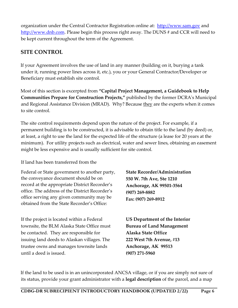organization under the Central Contractor Registration online at: [http://www.sam.gov](http://www.sam.gov/) and [http://www.dnb.com.](http://www.dnb.com/) Please begin this process right away. The DUNS # and CCR will need to be kept current throughout the term of the Agreement.

### **SITE CONTROL**

If your Agreement involves the use of land in any manner (building on it, burying a tank under it, running power lines across it, etc.), you or your General Contractor/Developer or Beneficiary must establish site control.

Most of this section is excerpted from **"Capital Project Management, a Guidebook to Help Communities Prepare for Construction Projects,"** published by the former DCRA's Municipal and Regional Assistance Division (MRAD). Why? Because they are the experts when it comes to site control.

The site control requirements depend upon the nature of the project. For example, if a permanent building is to be constructed, it is advisable to obtain title to the land (by deed) or, at least, a right to use the land for the expected life of the structure (a lease for 20 years at the minimum). For utility projects such as electrical, water and sewer lines, obtaining an easement might be less expensive and is usually sufficient for site control.

#### If land has been transferred from the

Federal or State government to another party, the conveyance document should be on record at the appropriate District Recorder's office. The address of the District Recorder's office serving any given community may be obtained from the State Recorder's Office:

If the project is located within a Federal townsite, the BLM Alaska State Office must be contacted. They are responsible for issuing land deeds to Alaskan villages. The trustee owns and manages townsite lands until a deed is issued.

**State Recorder/Administration 550 W. 7th Ave, Ste 1210 Anchorage, AK 99501-3564 (907) 269-8882 Fax: (907) 269-8912**

**US Department of the Interior Bureau of Land Management Alaska State Office 222 West 7th Avenue, #13 Anchorage, AK 99513 (907) 271-5960**

If the land to be used is in an unincorporated ANCSA village, or if you are simply not sure of its status, provide your grant administrator with a **legal description** of the parcel, and a map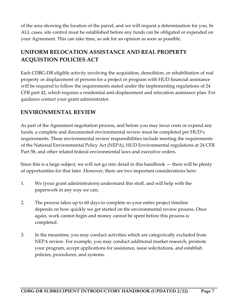of the area showing the location of the parcel, and we will request a determination for you. In ALL cases, site control must be established before any funds can be obligated or expended on your Agreement. This can take time, so ask for an opinion as soon as possible.

# **UNIFORM RELOCATION ASSISTANCE AND REAL PROPERTY ACQUISTION POLICIES ACT**

Each CDBG-DR eligible activity involving the acquisition, demolition, or rehabilitation of real property or displacement of persons for a project or program with HUD financial assistance will be required to follow the requirements stated under the implementing regulations of 24 CFR part 42, which requires a residential anti-displacement and relocation assistance plan. For guidance contact your grant administrator.

#### **ENVIRONMENTAL REVIEW**

As part of the Agreement negotiation process, and before you may incur costs or expend any funds, a complete and documented environmental review must be completed per HUD's requirements. These environmental review responsibilities include meeting the requirements of the National Environmental Policy Act (NEPA), HUD Environmental regulations at 24 CFR Part 58, and other related federal environmental laws and executive orders.

Since this is a large subject, we will not go into detail in this handbook — there will be plenty of opportunities for that later. However, there are two important considerations here:

- 1. We (your grant administrators) understand this stuff, and will help with the paperwork in any way we can;
- 2. The process takes up to 60 days to complete so your entire project timeline depends on how quickly we get started on the environmental review process. Once again, work cannot begin and money cannot be spent before this process is completed.
- 3. In the meantime, you may conduct activities which are categorically excluded from NEPA review. For example, you may conduct additional market research, promote your program, accept applications for assistance, issue solicitations, and establish policies, procedures, and systems.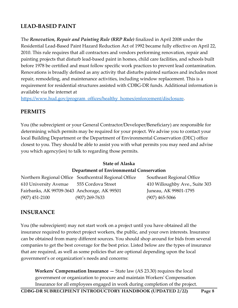### **LEAD-BASED PAINT**

The *Renovation, Repair and Painting Rule (RRP Rule)* finalized in April 2008 under the Residential Lead-Based Paint Hazard Reduction Act of 1992 became fully effective on April 22, 2010. This rule requires that all contractors and vendors performing renovation, repair and painting projects that disturb lead-based paint in homes, child care facilities, and schools built before 1978 be certified and must follow specific work practices to prevent lead contamination. Renovations is broadly defined as any activity that disturbs painted surfaces and includes most repair, remodeling, and maintenance activities, including window replacement. This is a requirement for residential structures assisted with CDBG-DR funds. Additional information is available via the internet at

[https://www.hud.gov/program\\_offices/healthy\\_homes/enforcement/disclosure.](https://www.hud.gov/program_offices/healthy_homes/enforcement/disclosure)

#### **PERMITS**

You (the subrecipient or your General Contractor/Developer/Beneficiary) are responsible for determining which permits may be required for your project. We advise you to contact your local Building Department or the Department of Environmental Conservation (DEC) office closest to you. They should be able to assist you with what permits you may need and advise you which agency(ies) to talk to regarding those permits.

#### **State of Alaska**

#### **Department of Environmental Conservation**

Northern Regional Office Southcentral Regional Office Southeast Regional Office 610 University Avenue 555 Cordova Street 410 Willoughby Ave., Suite 303 Fairbanks, AK 99709-3643 Anchorage, AK 99501 Juneau, AK 99801-1795 (907) 451-2100 (907) 269-7633 (907) 465-5066

#### **INSURANCE**

You (the subrecipient) may not start work on a project until you have obtained all the insurance required to protect project workers, the public, and your own interests. Insurance can be obtained from many different sources. You should shop around for bids from several companies to get the best coverage for the best price. Listed below are the types of insurance that are required, as well as some policies that are optional depending upon the local government's or organization's needs and concerns:

**Workers' Compensation Insurance —** State law (AS 23.30) requires the local government or organization to procure and maintain Workers' Compensation Insurance for all employees engaged in work during completion of the project.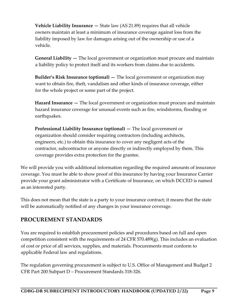**Vehicle Liability Insurance —** State law (AS 21.89) requires that all vehicle owners maintain at least a minimum of insurance coverage against loss from the liability imposed by law for damages arising out of the ownership or use of a vehicle.

**General Liability —** The local government or organization must procure and maintain a liability policy to protect itself and its workers from claims due to accidents.

**Builder's Risk Insurance (optional) —** The local government or organization may want to obtain fire, theft, vandalism and other kinds of insurance coverage, either for the whole project or some part of the project.

**Hazard Insurance —** The local government or organization must procure and maintain hazard insurance coverage for unusual events such as fire, windstorms, flooding or earthquakes.

**Professional Liability Insurance (optional) —** The local government or organization should consider requiring contractors (including architects, engineers, etc.) to obtain this insurance to cover any negligent acts of the contractor, subcontractor or anyone directly or indirectly employed by them. This coverage provides extra protection for the grantee.

We will provide you with additional information regarding the required amounts of insurance coverage. You must be able to show proof of this insurance by having your Insurance Carrier provide your grant administrator with a Certificate of Insurance, on which DCCED is named as an interested party.

This does not mean that the state is a party to your insurance contract; it means that the state will be automatically notified of any changes in your insurance coverage.

#### **PROCUREMENT STANDARDS**

You are required to establish procurement policies and procedures based on full and open competition consistent with the requirements of 24 CFR 570.489(g). This includes an evaluation of cost or price of all services, supplies, and materials. Procurements must conform to applicable Federal law and regulations.

The regulation governing procurement is subject to U.S. Office of Management and Budget 2 CFR Part 200 Subpart D – Procurement Standards 318-326.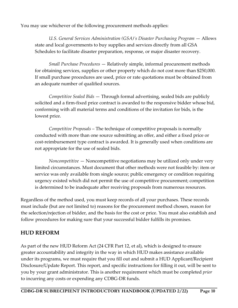You may use whichever of the following procurement methods applies:

*U.S. General Services Administration (GSA)'s Disaster Purchasing Program* — Allows state and local governments to buy supplies and services directly from all GSA Schedules to facilitate disaster preparation, response, or major disaster recovery.

*Small Purchase Procedures* — Relatively simple, informal procurement methods for obtaining services, supplies or other property which do not cost more than \$250,000. If small purchase procedures are used, price or rate quotations must be obtained from an adequate number of qualified sources.

*Competitive Sealed Bids* — Through formal advertising, sealed bids are publicly solicited and a firm-fixed price contract is awarded to the responsive bidder whose bid, conforming with all material terms and conditions of the invitation for bids, is the lowest price.

*Competitive Proposals* – The technique of competitive proposals is normally conducted with more than one source submitting an offer, and either a fixed price or cost-reimbursement type contract is awarded. It is generally used when conditions are not appropriate for the use of sealed bids.

*Noncompetitive* — Noncompetitive negotiations may be utilized only under very limited circumstances. Must document that other methods were not feasible by: item or service was only available from single source; public emergency or condition requiring urgency existed which did not permit the use of competitive procurement; competition is determined to be inadequate after receiving proposals from numerous resources.

Regardless of the method used, you must keep records of all your purchases. These records must include (but are not limited to) reasons for the procurement method chosen, reason for the selection/rejection of bidder, and the basis for the cost or price. You must also establish and follow procedures for making sure that your successful bidder fulfills its promises.

### **HUD REFORM**

As part of the new HUD Reform Act (24 CFR Part 12, et al), which is designed to ensure greater accountability and integrity in the way in which HUD makes assistance available under its programs, we must require that you fill out and submit a HUD Applicant/Recipient Disclosure/Update Report. This report, and specific instructions for filling it out, will be sent to you by your grant administrator. This is another requirement which must be completed *prior*  to incurring any costs or expending any CDBG-DR funds.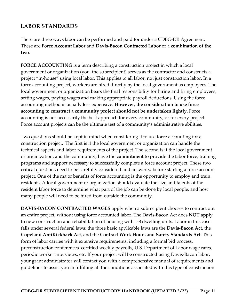### **LABOR STANDARDS**

There are three ways labor can be performed and paid for under a CDBG-DR Agreement. These are **Force Account Labor** and **Davis-Bacon Contracted Labor** or a **combination of the two**.

**FORCE ACCOUNTING** is a term describing a construction project in which a local government or organization (you, the subrecipient) serves as the contractor and constructs a project "in-house" using local labor. This applies to all labor, not just construction labor. In a force accounting project, workers are hired directly by the local government as employees. The local government or organization bears the final responsibility for hiring and firing employees, setting wages, paying wages and making appropriate payroll deductions. Using the force accounting method is usually less expensive. **However, the consideration to use force accounting to construct a community project should not be undertaken lightly.** Force accounting is not necessarily the best approach for every community, or for every project. Force account projects can be the ultimate test of a community's administrative abilities.

Two questions should be kept in mind when considering if to use force accounting for a construction project. The first is if the local government or organization can handle the technical aspects and labor requirements of the project. The second is if the local government or organization, and the community, have the **commitment** to provide the labor force, training programs and support necessary to successfully complete a force account project. These two critical questions need to be carefully considered and answered before starting a force account project. One of the major benefits of force accounting is the opportunity to employ and train residents. A local government or organization should evaluate the size and talents of the resident labor force to determine what part of the job can be done by local people, and how many people will need to be hired from outside the community.

**DAVIS-BACON CONTRACTED WAGES** apply when a subrecipient chooses to contract out an entire project, without using force accounted labor. The Davis-Bacon Act does **NOT** apply to new construction and rehabilitation of housing with 1-8 dwelling units. Labor in this case falls under several federal laws; the three basic applicable laws are the **Davis-Bacon Act**, the **Copeland AntiKickback Act**, and the **Contract Work Hours and Safety Standards Act.** This form of labor carries with it extensive requirements, including a formal bid process, preconstruction conferences, certified weekly payrolls, U.S. Department of Labor wage rates, periodic worker interviews, etc. If your project will be constructed using Davis-Bacon labor, your grant administrator will contact you with a comprehensive manual of requirements and guidelines to assist you in fulfilling all the conditions associated with this type of construction.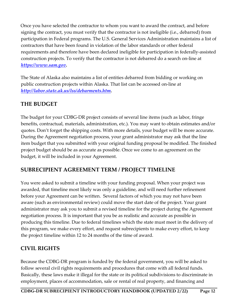Once you have selected the contractor to whom you want to award the contract, and before signing the contract, you must verify that the contractor is not ineligible (i.e., debarred) from participation in Federal programs. The U.S. General Services Administration maintains a list of contractors that have been found in violation of the labor standards or other federal requirements and therefore have been declared ineligible for participation in federally-assisted construction projects. To verify that the contractor is not debarred do a search on-line at *[https://www.sam.gov.](https://www.sam.gov/)*

The State of Alaska also maintains a list of entities debarred from bidding or working on public construction projects within Alaska. That list can be accessed on-line at *[http://labor.state.ak.us/lss/debarments.htm.](http://labor.state.ak.us/lss/debarments.htm)*

### **THE BUDGET**

The budget for your CDBG-DR project consists of several line items (such as labor, fringe benefits, contractual, materials, administration, etc.). You may want to obtain estimates and/or quotes. Don't forget the shipping costs. With more details, your budget will be more accurate. During the Agreement negotiation process, your grant administrator may ask that the line item budget that you submitted with your original funding proposal be modified. The finished project budget should be as accurate as possible. Once we come to an agreement on the budget, it will be included in your Agreement.

#### **SUBRECIPIENT AGREEMENT TERM / PROJECT TIMELINE**

You were asked to submit a timeline with your funding proposal. When your project was awarded, that timeline most likely was only a guideline, and will need further refinement before your Agreement can be written. Several factors of which you may not have been aware (such as environmental review) could move the start date of the project. Your grant administrator may ask you to submit a revised timeline for the project during the Agreement negotiation process. It is important that you be as realistic and accurate as possible in producing this timeline. Due to federal timelines which the state must meet in the delivery of this program, we make every effort, and request subrecipients to make every effort, to keep the project timeline within 12 to 24 months of the time of award.

### **CIVIL RIGHTS**

Because the CDBG-DR program is funded by the federal government, you will be asked to follow several civil rights requirements and procedures that come with all federal funds. Basically, these laws make it illegal for the state or its political subdivisions to discriminate in employment, places of accommodation, sale or rental of real property, and financing and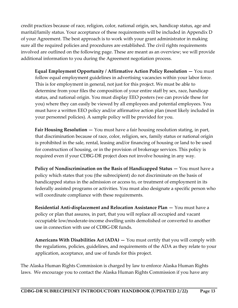credit practices because of race, religion, color, national origin, sex, handicap status, age and marital/family status. Your acceptance of these requirements will be included in Appendix D of your Agreement. The best approach is to work with your grant administrator in making sure all the required policies and procedures are established. The civil rights requirements involved are outlined on the following page. These are meant as an overview; we will provide additional information to you during the Agreement negotiation process.

**Equal Employment Opportunity / Affirmative Action Policy Resolution —** You must follow equal employment guidelines in advertising vacancies within your labor force. This is for employment in general, not just for this project. We must be able to determine from your files the composition of your entire staff by sex, race, handicap status, and national origin. You must display EEO posters (we can provide these for you) where they can easily be viewed by all employees and potential employees. You must have a written EEO policy and/or affirmative action plan (most likely included in your personnel policies). A sample policy will be provided for you.

**Fair Housing Resolution —** You must have a fair housing resolution stating, in part, that discrimination because of race, color, religion, sex, family status or national origin is prohibited in the sale, rental, leasing and/or financing of housing or land to be used for construction of housing, or in the provision of brokerage services. This policy is required even if your CDBG-DR project does not involve housing in any way.

**Policy of Nondiscrimination on the Basis of Handicapped Status —** You must have a policy which states that you (the subrecipient) do not discriminate on the basis of handicapped status in the admission or access to, or treatment of employment in its federally assisted programs or activities. You must also designate a specific person who will coordinate compliance with these requirements.

**Residential Anti-displacement and Relocation Assistance Plan —** You must have a policy or plan that assures, in part, that you will replace all occupied and vacant occupiable low/moderate-income dwelling units demolished or converted to another use in connection with use of CDBG-DR funds.

**Americans With Disabilities Act (ADA) —** You must certify that you will comply with the regulations, policies, guidelines, and requirements of the ADA as they relate to your application, acceptance, and use of funds for this project.

The Alaska Human Rights Commission is charged by law to enforce Alaska Human Rights laws. We encourage you to contact the Alaska Human Rights Commission if you have any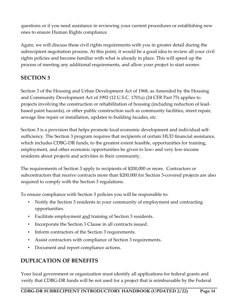questions or if you need assistance in reviewing your current procedures or establishing new ones to ensure Human Rights compliance.

Again, we will discuss these civil rights requirements with you in greater detail during the subrecipient negotiation process. At this point, it would be a good idea to review all your civil rights policies and become familiar with what is already in place. This will speed up the process of meeting any additional requirements, and allow your project to start sooner.

### **SECTION 3**

Section 3 of the Housing and Urban Development Act of 1968, as Amended by the Housing and Community Development Act of 1992 (12 U.S.C. 1701u) (24 CFR Part 75) applies to projects involving the construction or rehabilitation of housing (including reduction of leadbased paint hazards), or other public construction such as community facilities, street repair, sewage line repair or installation, updates to building facades, etc.

Section 3 is a provision that helps promote local economic development and individual selfsufficiency. The Section 3 program requires that recipients of certain HUD financial assistance, which includes CDBG-DR funds, to the greatest extent feasible, opportunities for training, employment, and other economic opportunities be given to low- and very low-income residents about projects and activities in their community.

The requirements of Section 3 apply to recipients of \$200,000 or more. Contractors or subcontractors that receive contracts more than \$200,000 for Section 3-covered projects are also required to comply with the Section 3 regulations.

To ensure compliance with Section 3 policies you will be responsible to:

- Notify the Section 3 residents in your community of employment and contracting opportunities.
- Facilitate employment and training of Section 3 residents.
- Incorporate the Section 3 Clause in all contracts issued.
- Inform contractors of the Section 3 requirements.
- Assist contractors with compliance of Section 3 requirements.
- Document and report compliance actions.

# **DUPLICATION OF BENEFITS**

Your local government or organization must identify all applications for federal grants and verify that CDBG-DR funds will be not used for a project that is reimbursable by the Federal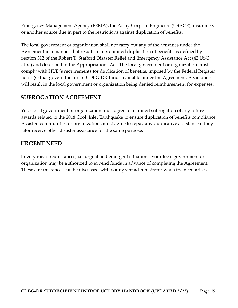Emergency Management Agency (FEMA), the Army Corps of Engineers (USACE), insurance, or another source due in part to the restrictions against duplication of benefits.

The local government or organization shall not carry out any of the activities under the Agreement in a manner that results in a prohibited duplication of benefits as defined by Section 312 of the Robert T. Stafford Disaster Relief and Emergency Assistance Act (42 USC 5155) and described in the Appropriations Act. The local government or organization must comply with HUD's requirements for duplication of benefits, imposed by the Federal Register notice(s) that govern the use of CDBG-DR funds available under the Agreement. A violation will result in the local government or organization being denied reimbursement for expenses.

#### **SUBROGATION AGREEMENT**

Your local government or organization must agree to a limited subrogation of any future awards related to the 2018 Cook Inlet Earthquake to ensure duplication of benefits compliance. Assisted communities or organizations must agree to repay any duplicative assistance if they later receive other disaster assistance for the same purpose.

#### **URGENT NEED**

In very rare circumstances, i.e. urgent and emergent situations, your local government or organization may be authorized to expend funds in advance of completing the Agreement. These circumstances can be discussed with your grant administrator when the need arises.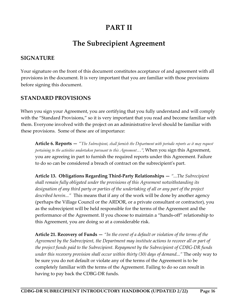# **PART II**

# **The Subrecipient Agreement**

#### **SIGNATURE**

Your signature on the front of this document constitutes acceptance of and agreement with all provisions in the document. It is very important that you are familiar with those provisions before signing this document.

#### **STANDARD PROVISIONS**

When you sign your Agreement, you are certifying that you fully understand and will comply with the "Standard Provisions," so it is very important that you read and become familiar with them. Everyone involved with the project on an administrative level should be familiar with these provisions. Some of these are of importance:

**Article 6. Reports —** *"The Subrecipient, shall furnish the Department with periodic reports as it may request pertaining to the activities undertaken pursuant to this Agreement…",* When you sign this Agreement, you are agreeing in part to furnish the required reports under this Agreement. Failure to do so can be considered a breach of contract on the subrecipient's part.

**Article 13. Obligations Regarding Third-Party Relationships —** *"...The Subrecipient shall remain fully obligated under the provisions of this Agreement notwithstanding its designation of any third party or parties of the undertaking of all or any part of the project described herein..."* This means that if any of the work will be done by another agency (perhaps the Village Council or the ARDOR, or a private consultant or contractor), you as the subrecipient will be held responsible for the terms of the Agreement and the performance of the Agreement. If you choose to maintain a "hands-off" relationship to this Agreement, you are doing so at a considerable risk.

**Article 21. Recovery of Funds —** *"In the event of a default or violation of the terms of the Agreement by the Subrecipient, the Department may institute actions to recover all or part of the project funds paid to the Subrecipient. Repayment by the Subrecipient of CDBG-DR funds under this recovery provision shall occur within thirty (30) days of demand..."* The only way to be sure you do not default or violate any of the terms of the Agreement is to be completely familiar with the terms of the Agreement. Failing to do so can result in having to pay back the CDBG-DR funds.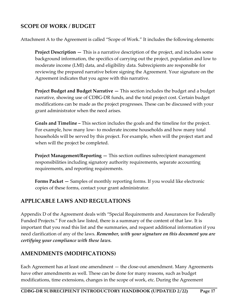#### **SCOPE OF WORK / BUDGET**

Attachment A to the Agreement is called "Scope of Work." It includes the following elements:

**Project Description —** This is a narrative description of the project, and includes some background information, the specifics of carrying out the project, population and low to moderate income (LMI) data, and eligibility data. Subrecipients are responsible for reviewing the prepared narrative before signing the Agreement. Your signature on the Agreement indicates that you agree with this narrative.

**Project Budget and Budget Narrative —** This section includes the budget and a budget narrative, showing use of CDBG-DR funds, and the total project cost. Certain budget modifications can be made as the project progresses. These can be discussed with your grant administrator when the need arises.

**Goals and Timeline –** This section includes the goals and the timeline for the project. For example, how many low- to moderate income households and how many total households will be served by this project. For example, when will the project start and when will the project be completed.

**Project Management/Reporting —** This section outlines subrecipient management responsibilities including signatory authority requirements, separate accounting requirements, and reporting requirements.

**Forms Packet —** Samples of monthly reporting forms. If you would like electronic copies of these forms, contact your grant administrator.

#### **APPLICABLE LAWS AND REGULATIONS**

Appendix D of the Agreement deals with "Special Requirements and Assurances for Federally Funded Projects." For each law listed, there is a summary of the content of that law. It is important that you read this list and the summaries, and request additional information if you need clarification of any of the laws. *Remember, with your signature on this document you are certifying your compliance with these laws.*

#### **AMENDMENTS (MODIFICATIONS)**

Each Agreement has at least one amendment — the close-out amendment. Many Agreements have other amendments as well. These can be done for many reasons, such as budget modifications, time extensions, changes in the scope of work, etc. During the Agreement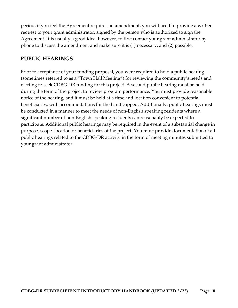period, if you feel the Agreement requires an amendment, you will need to provide a written request to your grant administrator, signed by the person who is authorized to sign the Agreement. It is usually a good idea, however, to first contact your grant administrator by phone to discuss the amendment and make sure it is (1) necessary, and (2) possible.

### **PUBLIC HEARINGS**

Prior to acceptance of your funding proposal, you were required to hold a public hearing (sometimes referred to as a "Town Hall Meeting") for reviewing the community's needs and electing to seek CDBG-DR funding for this project. A second public hearing must be held during the term of the project to review program performance. You must provide reasonable notice of the hearing, and it must be held at a time and location convenient to potential beneficiaries, with accommodations for the handicapped. Additionally, public hearings must be conducted in a manner to meet the needs of non-English speaking residents where a significant number of non-English speaking residents can reasonably be expected to participate. Additional public hearings may be required in the event of a substantial change in purpose, scope, location or beneficiaries of the project. You must provide documentation of all public hearings related to the CDBG-DR activity in the form of meeting minutes submitted to your grant administrator.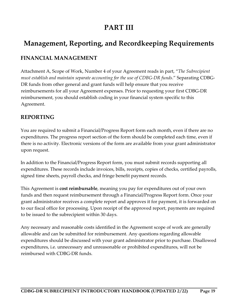# **PART III**

# **Management, Reporting, and Recordkeeping Requirements**

### **FINANCIAL MANAGEMENT**

Attachment A, Scope of Work, Number 4 of your Agreement reads in part, "*The Subrecipient must establish and maintain separate accounting for the use of CDBG-DR funds*." Separating CDBG-DR funds from other general and grant funds will help ensure that you receive reimbursements for all your Agreement expenses. Prior to requesting your first CDBG-DR reimbursement, you should establish coding in your financial system specific to this Agreement.

#### **REPORTING**

You are required to submit a Financial/Progress Report form each month, even if there are no expenditures. The progress report section of the form should be completed each time, even if there is no activity. Electronic versions of the form are available from your grant administrator upon request.

In addition to the Financial/Progress Report form, you must submit records supporting all expenditures. These records include invoices, bills, receipts, copies of checks, certified payrolls, signed time sheets, payroll checks, and fringe benefit payment records.

This Agreement is **cost reimbursable**, meaning you pay for expenditures out of your own funds and then request reimbursement through a Financial/Progress Report form. Once your grant administrator receives a complete report and approves it for payment, it is forwarded on to our fiscal office for processing. Upon receipt of the approved report, payments are required to be issued to the subrecipient within 30 days.

Any necessary and reasonable costs identified in the Agreement scope of work are generally allowable and can be submitted for reimbursement. Any questions regarding allowable expenditures should be discussed with your grant administrator prior to purchase. Disallowed expenditures, i.e. unnecessary and unreasonable or prohibited expenditures, will not be reimbursed with CDBG-DR funds.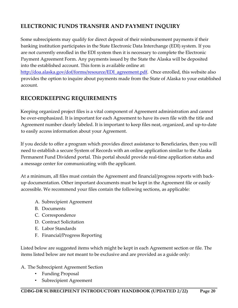## **ELECTRONIC FUNDS TRANSFER AND PAYMENT INQUIRY**

Some subrecipients may qualify for direct deposit of their reimbursement payments if their banking institution participates in the State Electronic Data Interchange (EDI) system. If you are not currently enrolled in the EDI system then it is necessary to complete the Electronic Payment Agreement Form. Any payments issued by the State the Alaska will be deposited into the established account. This form is available online at:

http://doa.alaska.gov/dof/forms/resource/EDI agreement.pdf. Once enrolled, this website also provides the option to inquire about payments made from the State of Alaska to your established account.

### **RECORDKEEPING REQUIREMENTS**

Keeping organized project files is a vital component of Agreement administration and cannot be over-emphasized. It is important for each Agreement to have its own file with the title and Agreement number clearly labeled. It is important to keep files neat, organized, and up-to-date to easily access information about your Agreement.

If you decide to offer a program which provides direct assistance to Beneficiaries, then you will need to establish a secure System of Records with an online application similar to the Alaska Permanent Fund Dividend portal. This portal should provide real-time application status and a message center for communicating with the applicant.

At a minimum, all files must contain the Agreement and financial/progress reports with backup documentation. Other important documents must be kept in the Agreement file or easily accessible. We recommend your files contain the following sections, as applicable:

- A. Subrecipient Agreement
- B. Documents
- C. Correspondence
- D. Contract Solicitation
- E. Labor Standards
- F. Financial/Progress Reporting

Listed below are suggested items which might be kept in each Agreement section or file. The items listed below are not meant to be exclusive and are provided as a guide only:

#### A. The Subrecipient Agreement Section

- Funding Proposal
- Subrecipient Agreement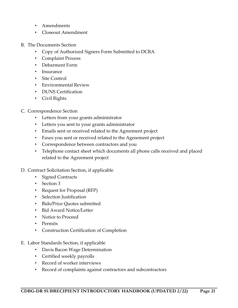- Amendments
- Closeout Amendment
- B. The Documents Section
	- Copy of Authorized Signers Form Submitted to DCRA
	- Complaint Process
	- Debarment Form
	- Insurance
	- Site Control
	- Environmental Review
	- DUNS Certification
	- Civil Rights
- C. Correspondence Section
	- Letters from your grants administrator
	- Letters you sent to your grants administrator
	- Emails sent or received related to the Agreement project
	- Faxes you sent or received related to the Agreement project
	- Correspondence between contractors and you
	- Telephone contact sheet which documents all phone calls received and placed related to the Agreement project
- D. Contract Solicitation Section, if applicable
	- Signed Contracts
	- Section 3
	- Request for Proposal (RFP)
	- Selection Justification
	- Bids/Price Quotes submitted
	- Bid Award Notice/Letter
	- Notice to Proceed
	- Permits
	- Construction Certification of Completion
- E. Labor Standards Section, if applicable
	- Davis Bacon Wage Determination
	- Certified weekly payrolls
	- Record of worker interviews
	- Record of complaints against contractors and subcontractors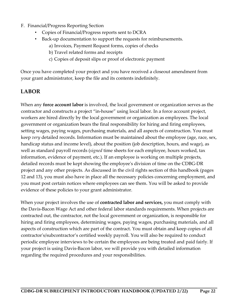- F. Financial/Progress Reporting Section
	- Copies of Financial/Progress reports sent to DCRA
	- Back-up documentation to support the requests for reimbursements.
		- a) Invoices, Payment Request forms, copies of checks
		- b) Travel related forms and receipts
		- c) Copies of deposit slips or proof of electronic payment

Once you have completed your project and you have received a closeout amendment from your grant administrator, keep the file and its contents indefinitely.

# **LABOR**

When any **force account labor** is involved, the local government or organization serves as the contractor and constructs a project "in-house" using local labor. In a force account project, workers are hired directly by the local government or organization as employees. The local government or organization bears the final responsibility for hiring and firing employees, setting wages, paying wages, purchasing materials, and all aspects of construction. You must keep *very* detailed records. Information must be maintained about the employee (age, race, sex, handicap status and income level), about the position (job description, hours, and wage), as well as standard payroll records (*signed* time sheets for each employee, hours worked, tax information, evidence of payment, etc.). If an employee is working on multiple projects, detailed records must be kept showing the employee's division of time on the CDBG-DR project and any other projects. As discussed in the civil rights section of this handbook (pages 12 and 13), you must also have in place all the necessary policies concerning employment, and you must post certain notices where employees can see them. You will be asked to provide evidence of these policies to your grant administrator.

When your project involves the use of **contracted labor and services,** you must comply with the Davis-Bacon Wage Act and other federal labor standards requirements. When projects are contracted out, the contractor, not the local government or organization, is responsible for hiring and firing employees, determining wages, paying wages, purchasing materials, and all aspects of construction which are part of the contract. You must obtain and keep copies of all contractor's/subcontractor's certified weekly payroll. You will also be required to conduct periodic employee interviews to be certain the employees are being treated and paid fairly. If your project is using Davis-Bacon labor, we will provide you with detailed information regarding the required procedures and your responsibilities.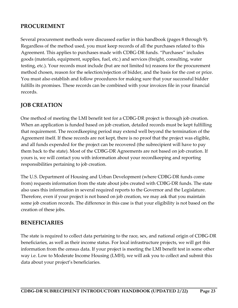#### **PROCUREMENT**

Several procurement methods were discussed earlier in this handbook (pages 8 through 9). Regardless of the method used, you must keep records of all the purchases related to this Agreement. This applies to purchases made with CDBG-DR funds. "Purchases" includes goods (materials, equipment, supplies, fuel, etc.) and services (freight, consulting, water testing, etc.). Your records must include (but are not limited to) reasons for the procurement method chosen, reason for the selection/rejection of bidder, and the basis for the cost or price. You must also establish and follow procedures for making sure that your successful bidder fulfills its promises. These records can be combined with your invoices file in your financial records.

#### **JOB CREATION**

One method of meeting the LMI benefit test for a CDBG-DR project is through job creation. When an application is funded based on job creation, detailed records must be kept fulfilling that requirement. The recordkeeping period may extend well beyond the termination of the Agreement itself. If these records are not kept, there is no proof that the project was eligible, and all funds expended for the project can be recovered (the subrecipient will have to pay them back to the state). Most of the CDBG-DR Agreements are not based on job creation. If yours is, we will contact you with information about your recordkeeping and reporting responsibilities pertaining to job creation.

The U.S. Department of Housing and Urban Development (where CDBG-DR funds come from) requests information from the state about jobs created with CDBG-DR funds. The state also uses this information in several required reports to the Governor and the Legislature. Therefore, even if your project is not based on job creation, we may ask that you maintain some job creation records. The difference in this case is that your eligibility is not based on the creation of these jobs.

#### **BENEFICIARIES**

The state is required to collect data pertaining to the race, sex, and national origin of CDBG-DR beneficiaries, as well as their income status. For local infrastructure projects, we will get this information from the census data. If your project is meeting the LMI benefit test in some other way i.e. Low to Moderate Income Housing (LMH), we will ask you to collect and submit this data about your project's beneficiaries.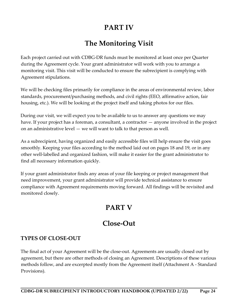# **PART IV**

# **The Monitoring Visit**

Each project carried out with CDBG-DR funds must be monitored at least once per Quarter during the Agreement cycle. Your grant administrator will work with you to arrange a monitoring visit. This visit will be conducted to ensure the subrecipient is complying with Agreement stipulations.

We will be checking files primarily for compliance in the areas of environmental review, labor standards, procurement/purchasing methods, and civil rights (EEO, affirmative action, fair housing, etc.). We will be looking at the project itself and taking photos for our files.

During our visit, we will expect you to be available to us to answer any questions we may have. If your project has a foreman, a consultant, a contractor — anyone involved in the project on an administrative level — we will want to talk to that person as well.

As a subrecipient, having organized and easily accessible files will help ensure the visit goes smoothly. Keeping your files according to the method laid out on pages 18 and 19, or in any other well-labelled and organized fashion, will make it easier for the grant administrator to find all necessary information quickly.

If your grant administrator finds any areas of your file keeping or project management that need improvement, your grant administrator will provide technical assistance to ensure compliance with Agreement requirements moving forward. All findings will be revisited and monitored closely.

# **PART V**

# **Close-Out**

#### **TYPES OF CLOSE-OUT**

The final act of your Agreement will be the close-out. Agreements are usually closed out by agreement, but there are other methods of closing an Agreement. Descriptions of these various methods follow, and are excerpted mostly from the Agreement itself (Attachment A - Standard Provisions).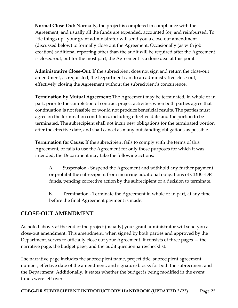**Normal Close-Out:** Normally, the project is completed in compliance with the Agreement, and usually all the funds are expended, accounted for, and reimbursed. To "tie things up" your grant administrator will send you a close-out amendment (discussed below) to formally close out the Agreement. Occasionally (as with job creation) additional reporting other than the audit will be required after the Agreement is closed-out, but for the most part, the Agreement is a done deal at this point.

**Administrative Close-Out:** If the subrecipient does not sign and return the close-out amendment, as requested, the Department can do an administrative close-out, effectively closing the Agreement without the subrecipient's concurrence.

**Termination by Mutual Agreement:** The Agreement may be terminated, in whole or in part, prior to the completion of contract project activities when both parties agree that continuation is not feasible or would not produce beneficial results. The parties must agree on the termination conditions, including effective date and the portion to be terminated. The subrecipient shall not incur new obligations for the terminated portion after the effective date, and shall cancel as many outstanding obligations as possible.

**Termination for Cause:** If the subrecipient fails to comply with the terms of this Agreement, or fails to use the Agreement for only those purposes for which it was intended, the Department may take the following actions:

A. Suspension - Suspend the Agreement and withhold any further payment or prohibit the subrecipient from incurring additional obligations of CDBG-DR funds, pending corrective action by the subrecipient or a decision to terminate.

B. Termination - Terminate the Agreement in whole or in part, at any time before the final Agreement payment is made.

#### **CLOSE-OUT AMENDMENT**

As noted above, at the end of the project (usually) your grant administrator will send you a close-out amendment. This amendment, when signed by both parties and approved by the Department, serves to officially close out your Agreement. It consists of three pages — the narrative page, the budget page, and the audit questionnaire/checklist.

The narrative page includes the subrecipient name, project title, subrecipient agreement number, effective date of the amendment, and signature blocks for both the subrecipient and the Department. Additionally, it states whether the budget is being modified in the event funds were left over.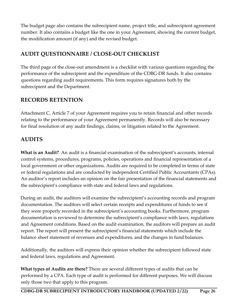The budget page also contains the subrecipient name, project title, and subrecipient agreement number. It also contains a budget like the one in your Agreement, showing the current budget, the modification amount (if any) and the revised budget.

# **AUDIT QUESTIONNAIRE / CLOSE-OUT CHECKLIST**

The third page of the close-out amendment is a checklist with various questions regarding the performance of the subrecipient and the expenditure of the CDBG-DR funds. It also contains questions regarding audit requirements. This form requires signatures both by the subrecipient and the Department.

### **RECORDS RETENTION**

Attachment C, Article 7 of your Agreement requires you to retain financial and other records relating to the performance of your Agreement permanently. Records will also be necessary for final resolution of any audit findings, claims, or litigation related to the Agreement.

#### **AUDITS**

**What is an Audit?** An audit is a financial examination of the subrecipient's accounts, internal control systems, procedures, programs, policies, operations and financial representation of a local government or other organizations. Audits are required to be completed in terms of state or federal regulations and are conducted by independent Certified Public Accountants (CPAs). An auditor's report includes an opinion on the fair presentation of the financial statements and the subrecipient's compliance with state and federal laws and regulations.

During an audit, the auditors will examine the subrecipient's accounting records and program documentation. The auditors will select certain receipts and expenditures of funds to see if they were properly recorded in the subrecipient's accounting books. Furthermore, program documentation is reviewed to determine the subrecipient's compliance with laws, regulations and Agreement conditions. Based on the audit examination, the auditors will prepare an audit report. The report will present the subrecipient's financial statements which include the balance sheet statement of revenues and expenditures, and the changes in fund balances.

Additionally, the auditors will express their opinion whether the subrecipient followed state and federal laws, regulations and Agreement.

**What types of Audits are there?** There are several different types of audits that can be performed by a CPA. Each type of audit is performed for different purposes. We will discuss only those two that apply to this program.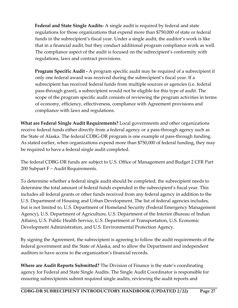**Federal and State Single Audits-** A single audit is required by federal and state regulations for those organizations that expend more than \$750,000 of state or federal funds in the subrecipient's fiscal year. Under a single audit, the auditor's work is like that in a financial audit, but they conduct additional program compliance work as well. The compliance aspect of the audit is focused on the subrecipient's conformity with regulations, laws and contract provisions.

**Program Specific Audit -** A program specific audit may be required of a subrecipient if only one federal award was received during the subrecipient's fiscal year. If a subrecipient has received federal funds from multiple sources or agencies (i.e. federal pass-through grant), a subrecipient would not be eligible for this type of audit. The scope of the program specific audit consists of reviewing the program activities in terms of economy, efficiency, effectiveness, compliance with Agreement provisions and compliance with laws and regulations.

**What are Federal Single Audit Requirements?** Local governments and other organizations receive federal funds either directly from a federal agency or a pass-through agency such as the State of Alaska. The federal CDBG-DR program is one example of pass-through funding. As stated earlier, when organizations expend more than \$750,000 of federal funding, they may be required to have a federal single audit completed.

The federal CDBG-DR funds are subject to U.S. Office of Management and Budget 2 CFR Part 200 Subpart F – Audit Requirements.

To determine whether a federal single audit should be completed, the subrecipient needs to determine the total amount of federal funds expended in the subrecipient's fiscal year. This includes all federal grants or other funds received from any federal agency in addition to the U.S. Department of Housing and Urban Development. The list of federal agencies includes, but is not limited to, U.S. Department of Homeland Security (Federal Emergency Management Agency), U.S. Department of Agriculture, U.S. Department of the Interior (Bureau of Indian Affairs), U.S. Public Health Service, U.S. Department of Transportation, U.S. Economic Development Administration, and U.S. Environmental Protection Agency.

By signing the Agreement, the subrecipient is agreeing to follow the audit requirements of the federal government and the State of Alaska, and to allow the Department and independent auditors to have access to the organization's financial records.

**Where are Audit Reports Submitted?** The Division of Finance is the state's coordinating agency for Federal and State Single Audits. The Single Audit Coordinator is responsible for ensuring subrecipients submit required single audits, reviewing the audit reports and